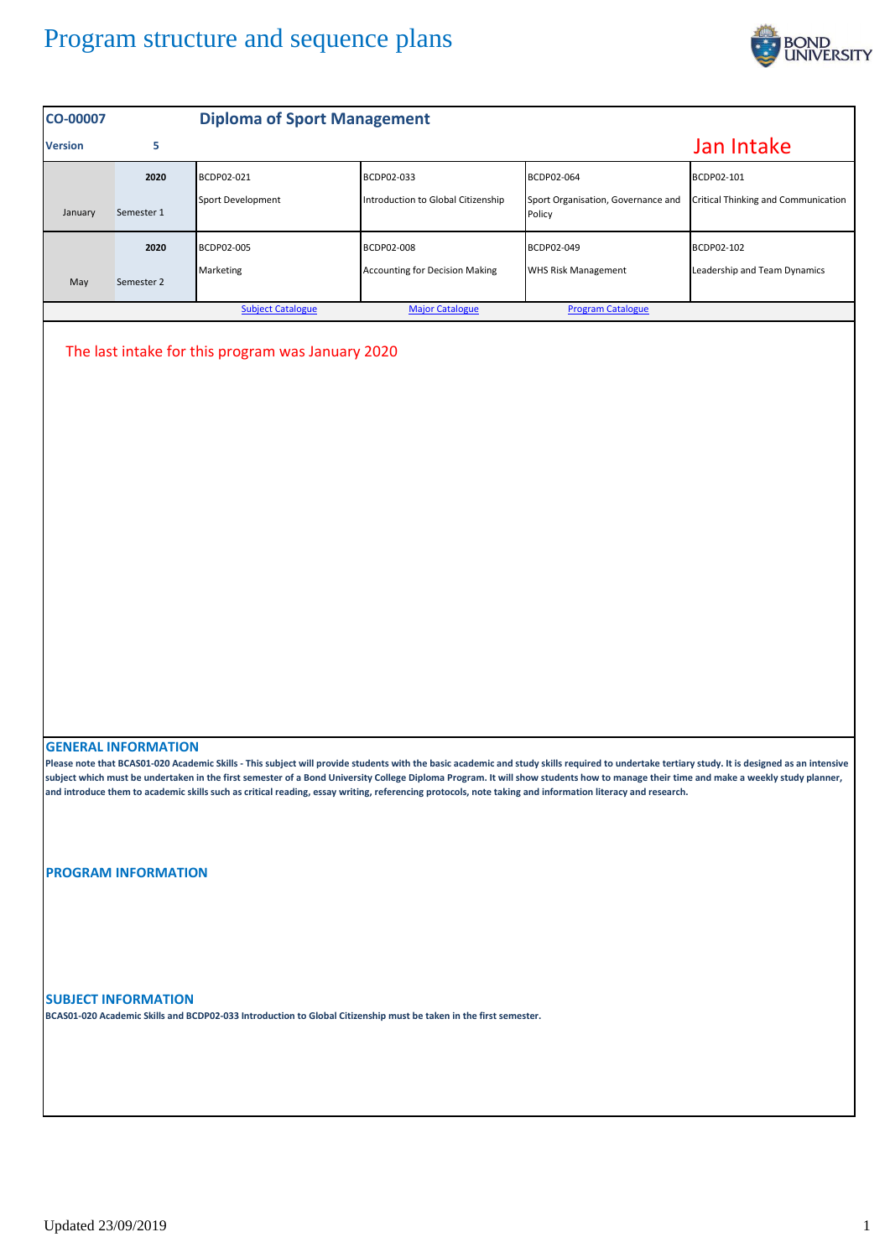## Program structure and sequence plans



| CO-00007                                                                                                                                                                                                                                                                                                                                                                                                                                                                                                                                                                         |                            | <b>Diploma of Sport Management</b> |                                       |                                              |                                            |  |  |  |  |
|----------------------------------------------------------------------------------------------------------------------------------------------------------------------------------------------------------------------------------------------------------------------------------------------------------------------------------------------------------------------------------------------------------------------------------------------------------------------------------------------------------------------------------------------------------------------------------|----------------------------|------------------------------------|---------------------------------------|----------------------------------------------|--------------------------------------------|--|--|--|--|
| <b>Version</b>                                                                                                                                                                                                                                                                                                                                                                                                                                                                                                                                                                   | 5                          |                                    |                                       |                                              | Jan Intake                                 |  |  |  |  |
|                                                                                                                                                                                                                                                                                                                                                                                                                                                                                                                                                                                  | 2020                       | BCDP02-021                         | BCDP02-033                            | BCDP02-064                                   | BCDP02-101                                 |  |  |  |  |
| January                                                                                                                                                                                                                                                                                                                                                                                                                                                                                                                                                                          | Semester 1                 | Sport Development                  | Introduction to Global Citizenship    | Sport Organisation, Governance and<br>Policy | <b>Critical Thinking and Communication</b> |  |  |  |  |
|                                                                                                                                                                                                                                                                                                                                                                                                                                                                                                                                                                                  | 2020                       | BCDP02-005                         | BCDP02-008                            | BCDP02-049                                   | BCDP02-102                                 |  |  |  |  |
| May                                                                                                                                                                                                                                                                                                                                                                                                                                                                                                                                                                              | Semester 2                 | Marketing                          | <b>Accounting for Decision Making</b> | <b>WHS Risk Management</b>                   | Leadership and Team Dynamics               |  |  |  |  |
|                                                                                                                                                                                                                                                                                                                                                                                                                                                                                                                                                                                  |                            | <b>Subject Catalogue</b>           | <b>Major Catalogue</b>                | <b>Program Catalogue</b>                     |                                            |  |  |  |  |
|                                                                                                                                                                                                                                                                                                                                                                                                                                                                                                                                                                                  |                            |                                    |                                       |                                              |                                            |  |  |  |  |
| <b>GENERAL INFORMATION</b><br>Please note that BCAS01-020 Academic Skills - This subject will provide students with the basic academic and study skills required to undertake tertiary study. It is designed as an intensive<br>subject which must be undertaken in the first semester of a Bond University College Diploma Program. It will show students how to manage their time and make a weekly study planner,<br>and introduce them to academic skills such as critical reading, essay writing, referencing protocols, note taking and information literacy and research. |                            |                                    |                                       |                                              |                                            |  |  |  |  |
|                                                                                                                                                                                                                                                                                                                                                                                                                                                                                                                                                                                  | <b>PROGRAM INFORMATION</b> |                                    |                                       |                                              |                                            |  |  |  |  |
| <b>SUBJECT INFORMATION</b><br>BCAS01-020 Academic Skills and BCDP02-033 Introduction to Global Citizenship must be taken in the first semester.                                                                                                                                                                                                                                                                                                                                                                                                                                  |                            |                                    |                                       |                                              |                                            |  |  |  |  |